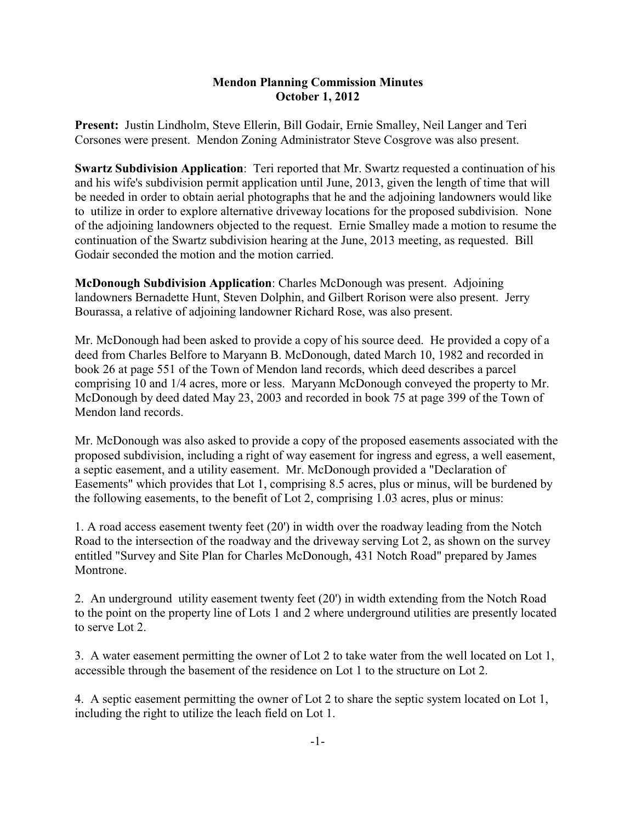## **Mendon Planning Commission Minutes October 1, 2012**

**Present:** Justin Lindholm, Steve Ellerin, Bill Godair, Ernie Smalley, Neil Langer and Teri Corsones were present. Mendon Zoning Administrator Steve Cosgrove was also present.

**Swartz Subdivision Application**: Teri reported that Mr. Swartz requested a continuation of his and his wife's subdivision permit application until June, 2013, given the length of time that will be needed in order to obtain aerial photographs that he and the adjoining landowners would like to utilize in order to explore alternative driveway locations for the proposed subdivision. None of the adjoining landowners objected to the request. Ernie Smalley made a motion to resume the continuation of the Swartz subdivision hearing at the June, 2013 meeting, as requested. Bill Godair seconded the motion and the motion carried.

**McDonough Subdivision Application**: Charles McDonough was present. Adjoining landowners Bernadette Hunt, Steven Dolphin, and Gilbert Rorison were also present. Jerry Bourassa, a relative of adjoining landowner Richard Rose, was also present.

Mr. McDonough had been asked to provide a copy of his source deed. He provided a copy of a deed from Charles Belfore to Maryann B. McDonough, dated March 10, 1982 and recorded in book 26 at page 551 of the Town of Mendon land records, which deed describes a parcel comprising 10 and 1/4 acres, more or less. Maryann McDonough conveyed the property to Mr. McDonough by deed dated May 23, 2003 and recorded in book 75 at page 399 of the Town of Mendon land records.

Mr. McDonough was also asked to provide a copy of the proposed easements associated with the proposed subdivision, including a right of way easement for ingress and egress, a well easement, a septic easement, and a utility easement. Mr. McDonough provided a "Declaration of Easements" which provides that Lot 1, comprising 8.5 acres, plus or minus, will be burdened by the following easements, to the benefit of Lot 2, comprising 1.03 acres, plus or minus:

1. A road access easement twenty feet (20') in width over the roadway leading from the Notch Road to the intersection of the roadway and the driveway serving Lot 2, as shown on the survey entitled "Survey and Site Plan for Charles McDonough, 431 Notch Road" prepared by James Montrone.

2. An underground utility easement twenty feet (20') in width extending from the Notch Road to the point on the property line of Lots 1 and 2 where underground utilities are presently located to serve Lot 2.

3. A water easement permitting the owner of Lot 2 to take water from the well located on Lot 1, accessible through the basement of the residence on Lot 1 to the structure on Lot 2.

4. A septic easement permitting the owner of Lot 2 to share the septic system located on Lot 1, including the right to utilize the leach field on Lot 1.